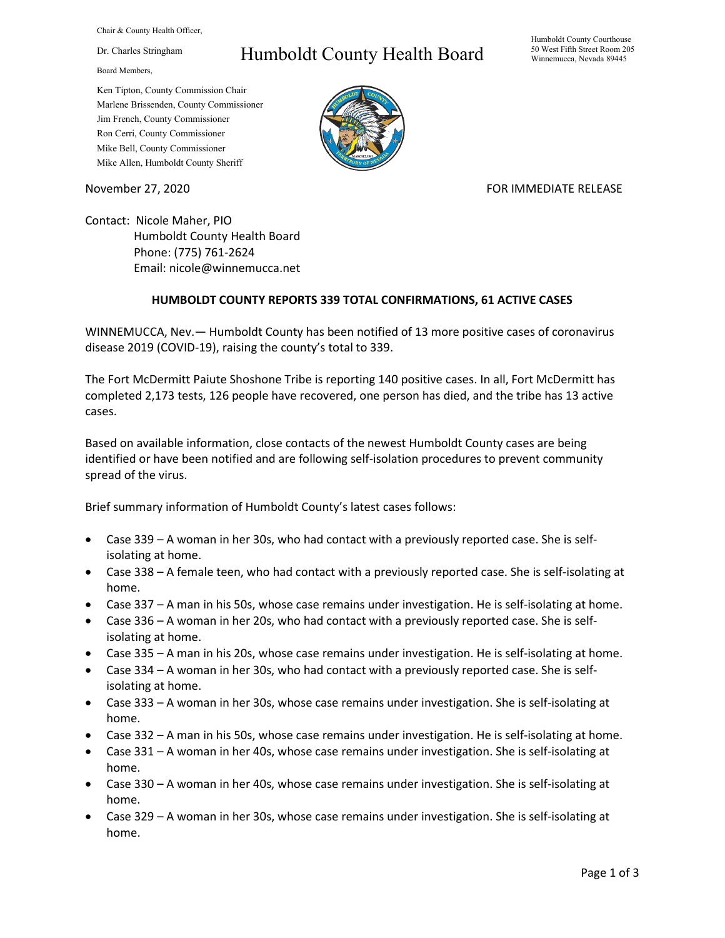Chair & County Health Officer,

Dr. Charles Stringham

Board Members,

## Humboldt County Health Board

Humboldt County Courthouse 50 West Fifth Street Room 205 Winnemucca, Nevada 89445

Ken Tipton, County Commission Chair Marlene Brissenden, County Commissioner Jim French, County Commissioner Ron Cerri, County Commissioner Mike Bell, County Commissioner Mike Allen, Humboldt County Sheriff

November 27, 2020 FOR IMMEDIATE RELEASE

Contact: Nicole Maher, PIO Humboldt County Health Board Phone: (775) 761-2624 Email: nicole@winnemucca.net

## **HUMBOLDT COUNTY REPORTS 339 TOTAL CONFIRMATIONS, 61 ACTIVE CASES**

WINNEMUCCA, Nev.— Humboldt County has been notified of 13 more positive cases of coronavirus disease 2019 (COVID-19), raising the county's total to 339.

The Fort McDermitt Paiute Shoshone Tribe is reporting 140 positive cases. In all, Fort McDermitt has completed 2,173 tests, 126 people have recovered, one person has died, and the tribe has 13 active cases.

Based on available information, close contacts of the newest Humboldt County cases are being identified or have been notified and are following self-isolation procedures to prevent community spread of the virus.

Brief summary information of Humboldt County's latest cases follows:

- Case 339 A woman in her 30s, who had contact with a previously reported case. She is selfisolating at home.
- Case 338 A female teen, who had contact with a previously reported case. She is self-isolating at home.
- Case 337 A man in his 50s, whose case remains under investigation. He is self-isolating at home.
- Case 336 A woman in her 20s, who had contact with a previously reported case. She is selfisolating at home.
- Case 335 A man in his 20s, whose case remains under investigation. He is self-isolating at home.
- Case 334 A woman in her 30s, who had contact with a previously reported case. She is selfisolating at home.
- Case 333 A woman in her 30s, whose case remains under investigation. She is self-isolating at home.
- Case 332 A man in his 50s, whose case remains under investigation. He is self-isolating at home.
- Case 331 A woman in her 40s, whose case remains under investigation. She is self-isolating at home.
- Case 330 A woman in her 40s, whose case remains under investigation. She is self-isolating at home.
- Case 329 A woman in her 30s, whose case remains under investigation. She is self-isolating at home.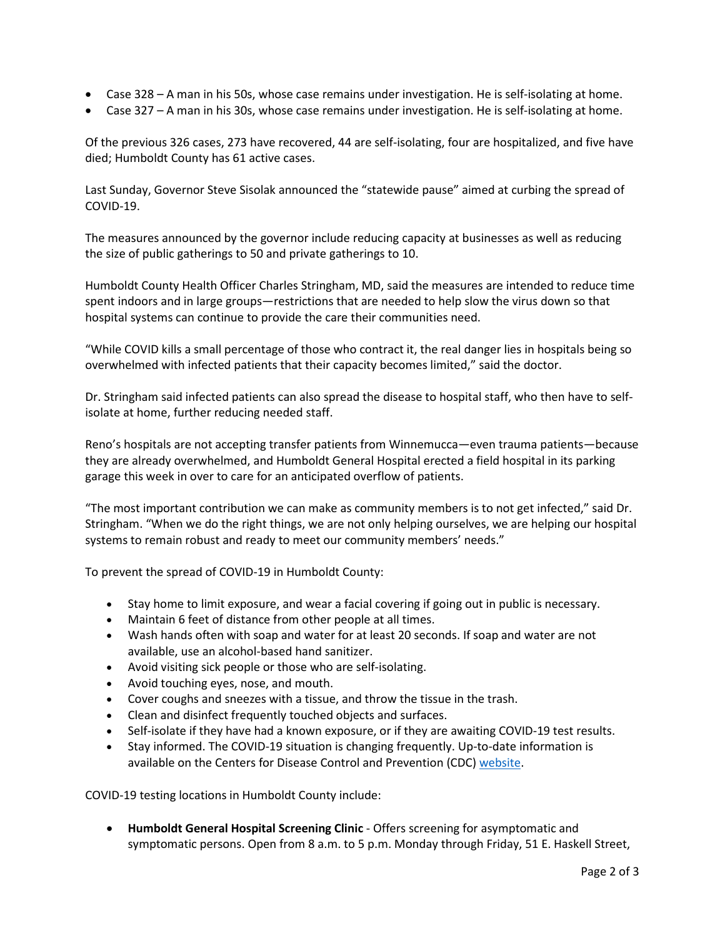- Case 328 A man in his 50s, whose case remains under investigation. He is self-isolating at home.
- Case 327 A man in his 30s, whose case remains under investigation. He is self-isolating at home.

Of the previous 326 cases, 273 have recovered, 44 are self-isolating, four are hospitalized, and five have died; Humboldt County has 61 active cases.

Last Sunday, Governor Steve Sisolak announced the "statewide pause" aimed at curbing the spread of COVID-19.

The measures announced by the governor include reducing capacity at businesses as well as reducing the size of public gatherings to 50 and private gatherings to 10.

Humboldt County Health Officer Charles Stringham, MD, said the measures are intended to reduce time spent indoors and in large groups—restrictions that are needed to help slow the virus down so that hospital systems can continue to provide the care their communities need.

"While COVID kills a small percentage of those who contract it, the real danger lies in hospitals being so overwhelmed with infected patients that their capacity becomes limited," said the doctor.

Dr. Stringham said infected patients can also spread the disease to hospital staff, who then have to selfisolate at home, further reducing needed staff.

Reno's hospitals are not accepting transfer patients from Winnemucca—even trauma patients—because they are already overwhelmed, and Humboldt General Hospital erected a field hospital in its parking garage this week in over to care for an anticipated overflow of patients.

"The most important contribution we can make as community members is to not get infected," said Dr. Stringham. "When we do the right things, we are not only helping ourselves, we are helping our hospital systems to remain robust and ready to meet our community members' needs."

To prevent the spread of COVID-19 in Humboldt County:

- Stay home to limit exposure, and wear a facial covering if going out in public is necessary.
- Maintain 6 feet of distance from other people at all times.
- Wash hands often with soap and water for at least 20 seconds. If soap and water are not available, use an alcohol-based hand sanitizer.
- Avoid visiting sick people or those who are self-isolating.
- Avoid touching eyes, nose, and mouth.
- Cover coughs and sneezes with a tissue, and throw the tissue in the trash.
- Clean and disinfect frequently touched objects and surfaces.
- Self-isolate if they have had a known exposure, or if they are awaiting COVID-19 test results.
- Stay informed. The COVID-19 situation is changing frequently. Up-to-date information is available on the Centers for Disease Control and Prevention (CDC) [website.](http://www.cdc.gov/coronavirus/2019-ncov/index.html)

COVID-19 testing locations in Humboldt County include:

• **Humboldt General Hospital Screening Clinic** - Offers screening for asymptomatic and symptomatic persons. Open from 8 a.m. to 5 p.m. Monday through Friday, 51 E. Haskell Street,